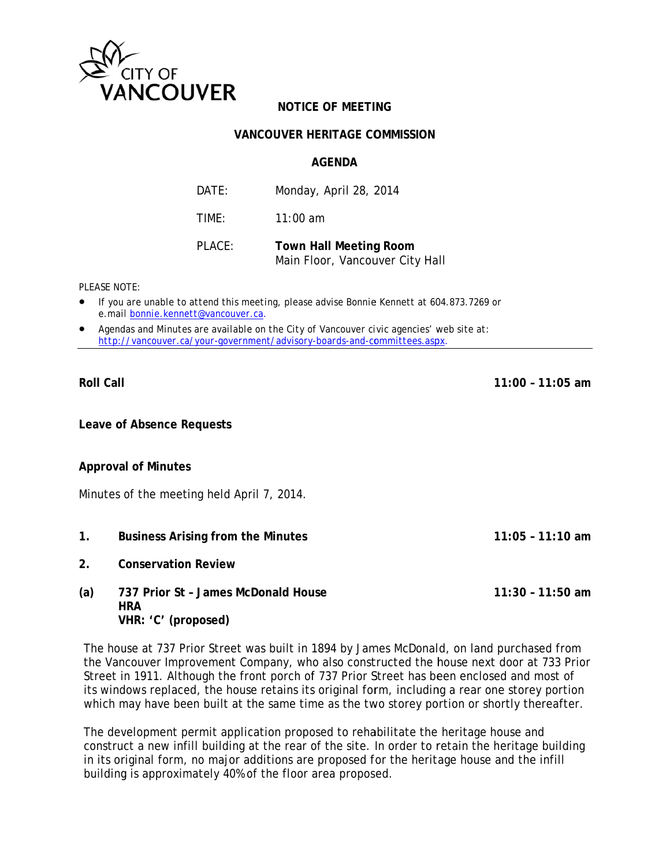

## **NOTICE OF MEETING**

## **VANCOUVER HERITAGE COMMISSION**

#### **AGFNDA**

| DATF:  | Monday, April 28, 2014                                           |
|--------|------------------------------------------------------------------|
| TIMF:  | $11:00$ am                                                       |
| PLACE: | <b>Town Hall Meeting Room</b><br>Main Floor, Vancouver City Hall |

PI FASE NOTE:

- If you are unable to attend this meeting, please advise Bonnie Kennett at 604.873.7269 or e.mail bonnie.kennett@vancouver.ca.
- Agendas and Minutes are available on the City of Vancouver civic agencies' web site at: http://vancouver.ca/your-government/advisory-boards-and-committees.aspx.

**Roll Call** 

 $11:00 - 11:05$  am

 $11:05 - 11:10$  am

**Leave of Absence Requests** 

## **Approval of Minutes**

Minutes of the meeting held April 7, 2014.

- $1.$ **Business Arising from the Minutes**
- $2<sub>1</sub>$ **Conservation Review**

#### 737 Prior St - James McDonald House  $(a)$  $11:30 - 11:50$  am **HRA** VHR: 'C' (proposed)

The house at 737 Prior Street was built in 1894 by James McDonald, on land purchased from the Vancouver Improvement Company, who also constructed the house next door at 733 Prior Street in 1911. Although the front porch of 737 Prior Street has been enclosed and most of its windows replaced, the house retains its original form, including a rear one storey portion which may have been built at the same time as the two storey portion or shortly thereafter.

The development permit application proposed to rehabilitate the heritage house and construct a new infill building at the rear of the site. In order to retain the heritage building in its original form, no major additions are proposed for the heritage house and the infill building is approximately 40% of the floor area proposed.